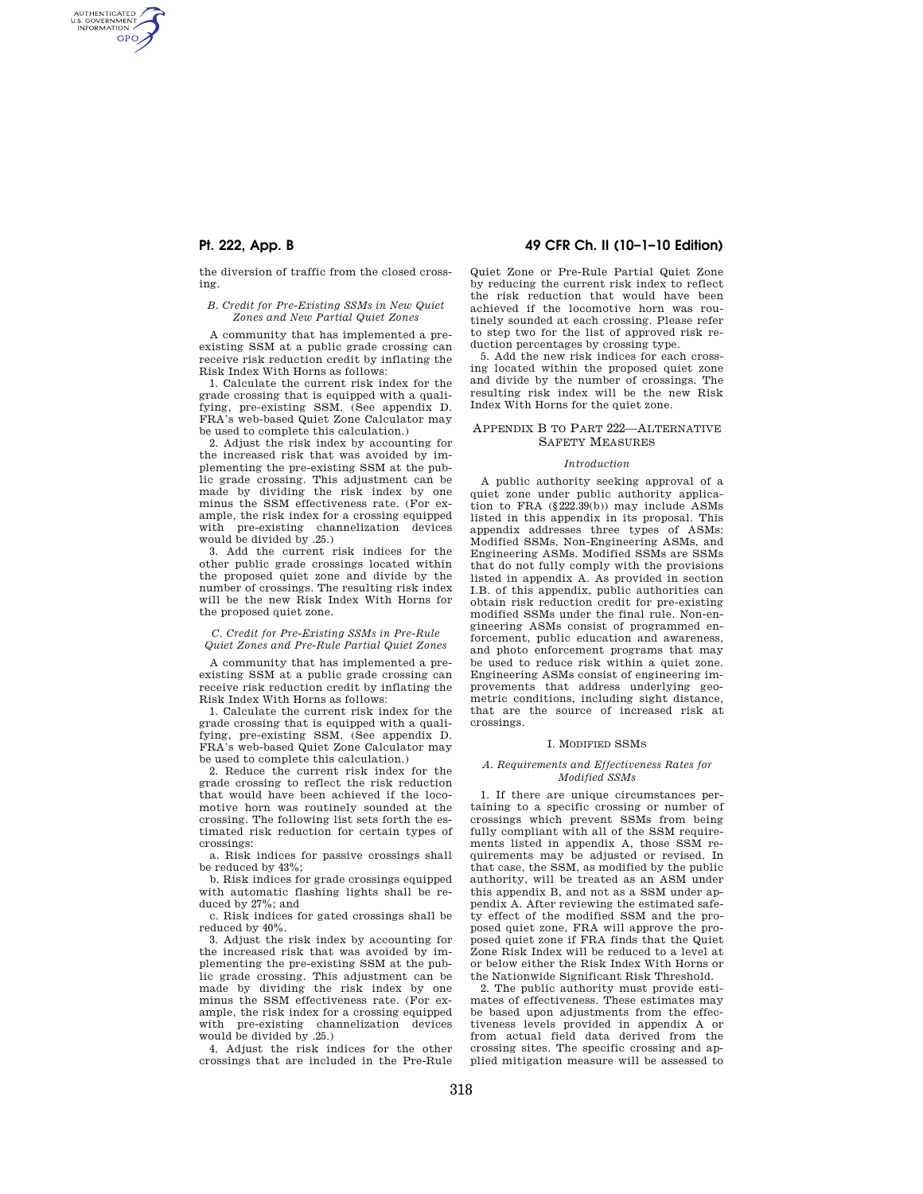AUTHENTICATED<br>U.S. GOVERNMENT<br>INFORMATION **GPO** 

> the diversion of traffic from the closed crossing.

### *B. Credit for Pre-Existing SSMs in New Quiet Zones and New Partial Quiet Zones*

A community that has implemented a preexisting SSM at a public grade crossing can receive risk reduction credit by inflating the Risk Index With Horns as follows:

1. Calculate the current risk index for the grade crossing that is equipped with a qualifying, pre-existing SSM. (See appendix D. FRA's web-based Quiet Zone Calculator may be used to complete this calculation.)

2. Adjust the risk index by accounting for the increased risk that was avoided by implementing the pre-existing SSM at the public grade crossing. This adjustment can be made by dividing the risk index by one minus the SSM effectiveness rate. (For example, the risk index for a crossing equipped with pre-existing channelization devices would be divided by .25.)

3. Add the current risk indices for the other public grade crossings located within the proposed quiet zone and divide by the number of crossings. The resulting risk index will be the new Risk Index With Horns for the proposed quiet zone.

## *C. Credit for Pre-Existing SSMs in Pre-Rule Quiet Zones and Pre-Rule Partial Quiet Zones*

A community that has implemented a preexisting SSM at a public grade crossing can receive risk reduction credit by inflating the Risk Index With Horns as follows:

1. Calculate the current risk index for the grade crossing that is equipped with a qualifying, pre-existing SSM. (See appendix D. FRA's web-based Quiet Zone Calculator may be used to complete this calculation.)

2. Reduce the current risk index for the grade crossing to reflect the risk reduction that would have been achieved if the locomotive horn was routinely sounded at the crossing. The following list sets forth the estimated risk reduction for certain types of crossings:

a. Risk indices for passive crossings shall be reduced by 43%;

b. Risk indices for grade crossings equipped with automatic flashing lights shall be reduced by 27%; and

c. Risk indices for gated crossings shall be reduced by 40%.

3. Adjust the risk index by accounting for the increased risk that was avoided by implementing the pre-existing SSM at the public grade crossing. This adjustment can be made by dividing the risk index by one minus the SSM effectiveness rate. (For example, the risk index for a crossing equipped with pre-existing channelization devices would be divided by .25.)

4. Adjust the risk indices for the other crossings that are included in the Pre-Rule

# **Pt. 222, App. B 49 CFR Ch. II (10–1–10 Edition)**

Quiet Zone or Pre-Rule Partial Quiet Zone by reducing the current risk index to reflect the risk reduction that would have been achieved if the locomotive horn was routinely sounded at each crossing. Please refer to step two for the list of approved risk reduction percentages by crossing type.

5. Add the new risk indices for each crossing located within the proposed quiet zone and divide by the number of crossings. The resulting risk index will be the new Risk Index With Horns for the quiet zone.

## APPENDIX B TO PART 222—ALTERNATIVE SAFETY MEASURES

#### *Introduction*

A public authority seeking approval of a quiet zone under public authority application to FRA (§222.39(b)) may include ASMs listed in this appendix in its proposal. This appendix addresses three types of ASMs: Modified SSMs, Non-Engineering ASMs, and Engineering ASMs. Modified SSMs are SSMs that do not fully comply with the provisions listed in appendix A. As provided in section I.B. of this appendix, public authorities can obtain risk reduction credit for pre-existing modified SSMs under the final rule. Non-engineering ASMs consist of programmed enforcement, public education and awareness, and photo enforcement programs that may be used to reduce risk within a quiet zone. Engineering ASMs consist of engineering improvements that address underlying geometric conditions, including sight distance, that are the source of increased risk at crossings.

### I. MODIFIED SSMS

## *A. Requirements and Effectiveness Rates for Modified SSMs*

1. If there are unique circumstances pertaining to a specific crossing or number of crossings which prevent SSMs from being fully compliant with all of the SSM requirements listed in appendix A, those SSM requirements may be adjusted or revised. In that case, the SSM, as modified by the public authority, will be treated as an ASM under this appendix B, and not as a SSM under appendix A. After reviewing the estimated safety effect of the modified SSM and the proposed quiet zone, FRA will approve the proposed quiet zone if FRA finds that the Quiet Zone Risk Index will be reduced to a level at or below either the Risk Index With Horns or the Nationwide Significant Risk Threshold.

2. The public authority must provide estimates of effectiveness. These estimates may be based upon adjustments from the effectiveness levels provided in appendix A or from actual field data derived from the crossing sites. The specific crossing and applied mitigation measure will be assessed to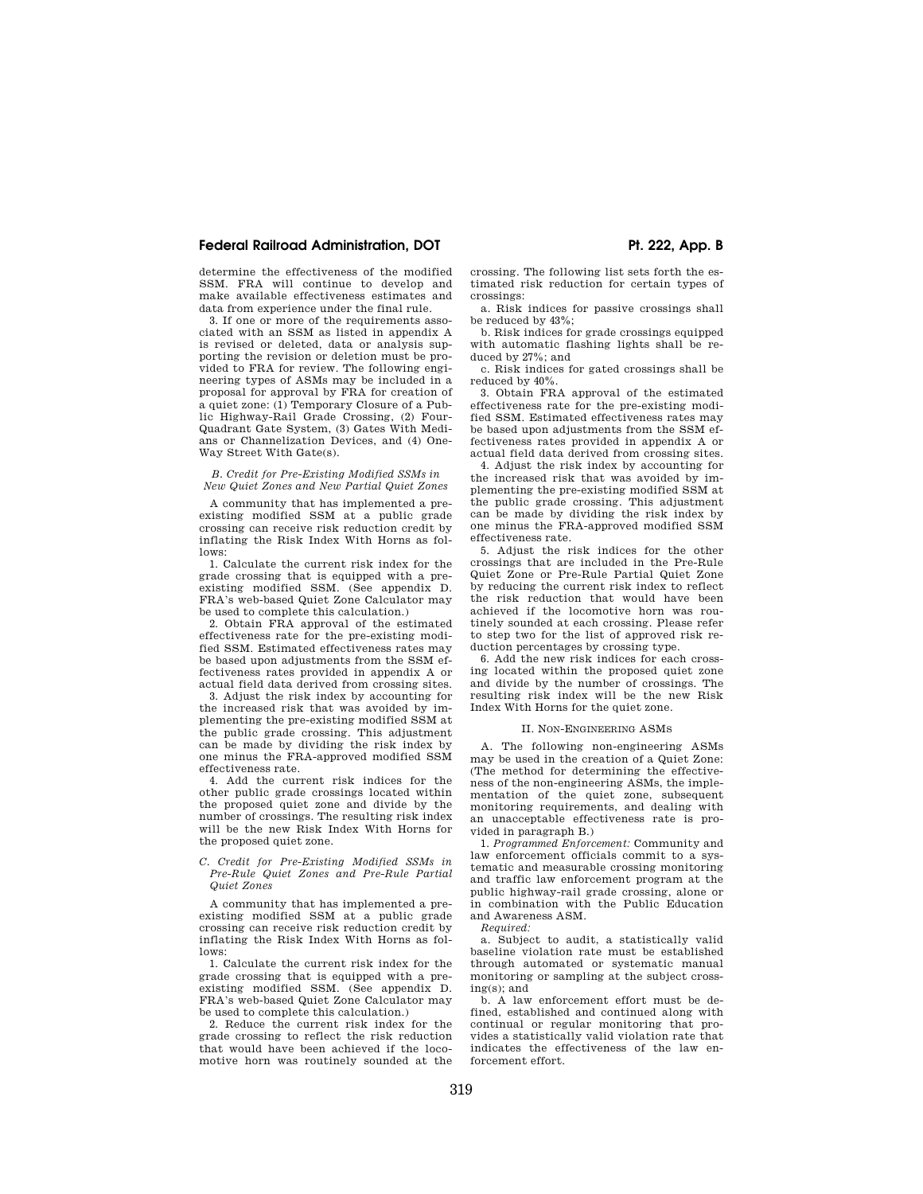## Federal Railroad Administration, DOT **Pr. 222, App. B**

determine the effectiveness of the modified SSM. FRA will continue to develop and make available effectiveness estimates and data from experience under the final rule.

3. If one or more of the requirements associated with an SSM as listed in appendix A is revised or deleted, data or analysis supporting the revision or deletion must be provided to FRA for review. The following engineering types of ASMs may be included in a proposal for approval by FRA for creation of a quiet zone: (1) Temporary Closure of a Public Highway-Rail Grade Crossing, (2) Four-Quadrant Gate System, (3) Gates With Medians or Channelization Devices, and (4) One-Way Street With Gate(s).

*B. Credit for Pre-Existing Modified SSMs in New Quiet Zones and New Partial Quiet Zones* 

A community that has implemented a preexisting modified SSM at a public grade crossing can receive risk reduction credit by inflating the Risk Index With Horns as follows:

1. Calculate the current risk index for the grade crossing that is equipped with a preexisting modified SSM. (See appendix D. FRA's web-based Quiet Zone Calculator may be used to complete this calculation.)

2. Obtain FRA approval of the estimated effectiveness rate for the pre-existing modified SSM. Estimated effectiveness rates may be based upon adjustments from the SSM effectiveness rates provided in appendix A or actual field data derived from crossing sites.

3. Adjust the risk index by accounting for the increased risk that was avoided by implementing the pre-existing modified SSM at the public grade crossing. This adjustment can be made by dividing the risk index by one minus the FRA-approved modified SSM effectiveness rate.

4. Add the current risk indices for the other public grade crossings located within the proposed quiet zone and divide by the number of crossings. The resulting risk index will be the new Risk Index With Horns for the proposed quiet zone.

#### *C. Credit for Pre-Existing Modified SSMs in Pre-Rule Quiet Zones and Pre-Rule Partial Quiet Zones*

A community that has implemented a preexisting modified SSM at a public grade crossing can receive risk reduction credit by inflating the Risk Index With Horns as follows:

1. Calculate the current risk index for the grade crossing that is equipped with a preexisting modified SSM. (See appendix D. FRA's web-based Quiet Zone Calculator may be used to complete this calculation.)

2. Reduce the current risk index for the grade crossing to reflect the risk reduction that would have been achieved if the locomotive horn was routinely sounded at the crossing. The following list sets forth the estimated risk reduction for certain types of crossings:

a. Risk indices for passive crossings shall be reduced by 43%;

b. Risk indices for grade crossings equipped with automatic flashing lights shall be reduced by 27%; and

c. Risk indices for gated crossings shall be reduced by 40%.

3. Obtain FRA approval of the estimated effectiveness rate for the pre-existing modified SSM. Estimated effectiveness rates may be based upon adjustments from the SSM effectiveness rates provided in appendix A or actual field data derived from crossing sites.

4. Adjust the risk index by accounting for the increased risk that was avoided by implementing the pre-existing modified SSM at the public grade crossing. This adjustment can be made by dividing the risk index by one minus the FRA-approved modified SSM effectiveness rate.

5. Adjust the risk indices for the other crossings that are included in the Pre-Rule Quiet Zone or Pre-Rule Partial Quiet Zone by reducing the current risk index to reflect the risk reduction that would have been achieved if the locomotive horn was routinely sounded at each crossing. Please refer to step two for the list of approved risk reduction percentages by crossing type.

6. Add the new risk indices for each crossing located within the proposed quiet zone and divide by the number of crossings. The resulting risk index will be the new Risk Index With Horns for the quiet zone.

### II. NON-ENGINEERING ASMS

A. The following non-engineering ASMs may be used in the creation of a Quiet Zone: (The method for determining the effectiveness of the non-engineering ASMs, the implementation of the quiet zone, subsequent monitoring requirements, and dealing with an unacceptable effectiveness rate is provided in paragraph B.)

1. *Programmed Enforcement:* Community and law enforcement officials commit to a systematic and measurable crossing monitoring and traffic law enforcement program at the public highway-rail grade crossing, alone or in combination with the Public Education and Awareness ASM.

*Required:* 

a. Subject to audit, a statistically valid baseline violation rate must be established through automated or systematic manual monitoring or sampling at the subject crossing(s); and

b. A law enforcement effort must be defined, established and continued along with continual or regular monitoring that provides a statistically valid violation rate that indicates the effectiveness of the law enforcement effort.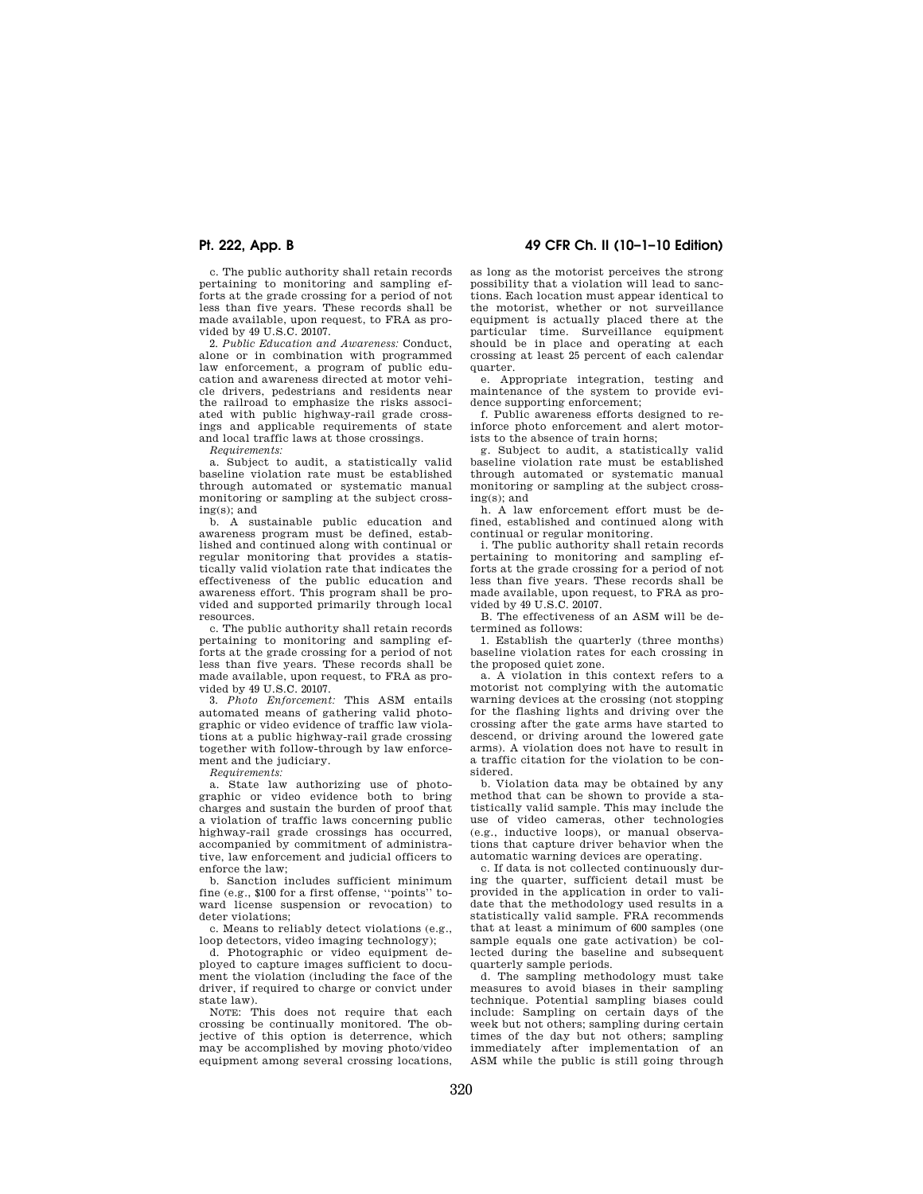c. The public authority shall retain records pertaining to monitoring and sampling efforts at the grade crossing for a period of not less than five years. These records shall be made available, upon request, to FRA as provided by 49 U.S.C. 20107.

2. *Public Education and Awareness:* Conduct, alone or in combination with programmed law enforcement, a program of public education and awareness directed at motor vehicle drivers, pedestrians and residents near the railroad to emphasize the risks associated with public highway-rail grade crossings and applicable requirements of state and local traffic laws at those crossings.

*Requirements:* 

a. Subject to audit, a statistically valid baseline violation rate must be established through automated or systematic manual monitoring or sampling at the subject crossing(s); and

b. A sustainable public education and awareness program must be defined, established and continued along with continual or regular monitoring that provides a statistically valid violation rate that indicates the effectiveness of the public education and awareness effort. This program shall be provided and supported primarily through local resources.

c. The public authority shall retain records pertaining to monitoring and sampling efforts at the grade crossing for a period of not less than five years. These records shall be made available, upon request, to FRA as provided by 49 U.S.C. 20107.

3. *Photo Enforcement:* This ASM entails automated means of gathering valid photographic or video evidence of traffic law violations at a public highway-rail grade crossing together with follow-through by law enforcement and the judiciary.

*Requirements:* 

a. State law authorizing use of photographic or video evidence both to bring charges and sustain the burden of proof that a violation of traffic laws concerning public highway-rail grade crossings has occurred, accompanied by commitment of administrative, law enforcement and judicial officers to enforce the law;

b. Sanction includes sufficient minimum fine (e.g., \$100 for a first offense, ''points'' toward license suspension or revocation) to deter violations;

c. Means to reliably detect violations (e.g., loop detectors, video imaging technology);

d. Photographic or video equipment deployed to capture images sufficient to document the violation (including the face of the driver, if required to charge or convict under state law).

NOTE: This does not require that each crossing be continually monitored. The objective of this option is deterrence, which may be accomplished by moving photo/video equipment among several crossing locations,

## **Pt. 222, App. B 49 CFR Ch. II (10–1–10 Edition)**

as long as the motorist perceives the strong possibility that a violation will lead to sanctions. Each location must appear identical to the motorist, whether or not surveillance equipment is actually placed there at the particular time. Surveillance equipment should be in place and operating at each crossing at least 25 percent of each calendar quarter.

e. Appropriate integration, testing and maintenance of the system to provide evidence supporting enforcement;

f. Public awareness efforts designed to reinforce photo enforcement and alert motorists to the absence of train horns;

g. Subject to audit, a statistically valid baseline violation rate must be established through automated or systematic manual monitoring or sampling at the subject crossing(s); and

h. A law enforcement effort must be defined, established and continued along with continual or regular monitoring.

i. The public authority shall retain records pertaining to monitoring and sampling efforts at the grade crossing for a period of not less than five years. These records shall be made available, upon request, to FRA as provided by 49 U.S.C. 20107.

B. The effectiveness of an ASM will be determined as follows:

1. Establish the quarterly (three months) baseline violation rates for each crossing in the proposed quiet zone.

a. A violation in this context refers to a motorist not complying with the automatic warning devices at the crossing (not stopping for the flashing lights and driving over the crossing after the gate arms have started to descend, or driving around the lowered gate arms). A violation does not have to result in a traffic citation for the violation to be considered.

b. Violation data may be obtained by any method that can be shown to provide a statistically valid sample. This may include the use of video cameras, other technologies (e.g., inductive loops), or manual observations that capture driver behavior when the automatic warning devices are operating.

c. If data is not collected continuously during the quarter, sufficient detail must be provided in the application in order to validate that the methodology used results in a statistically valid sample. FRA recommends that at least a minimum of 600 samples (one sample equals one gate activation) be collected during the baseline and subsequent quarterly sample periods.

d. The sampling methodology must take measures to avoid biases in their sampling technique. Potential sampling biases could include: Sampling on certain days of the week but not others; sampling during certain times of the day but not others; sampling immediately after implementation of an ASM while the public is still going through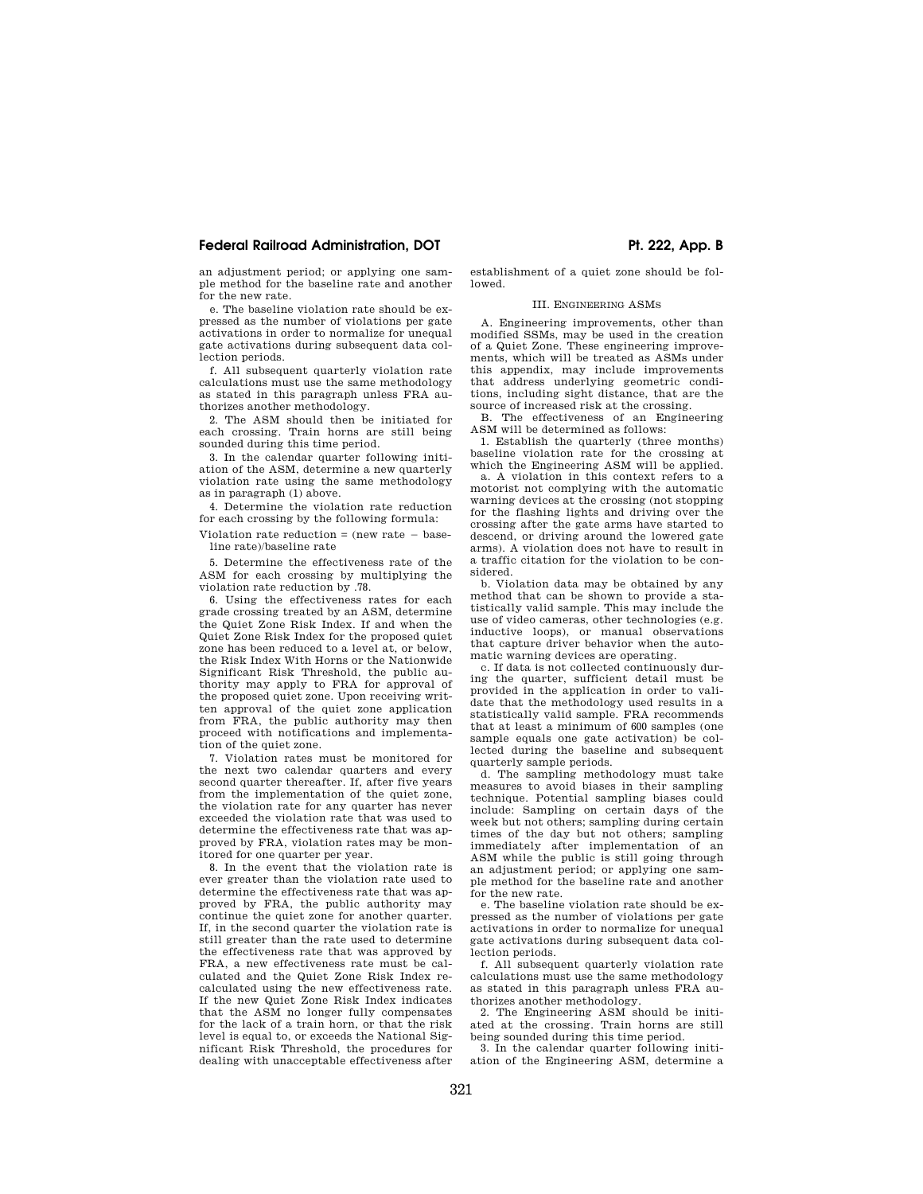## Federal Railroad Administration, DOT **Ph. 222, App. B Ph. 222, App. B**

an adjustment period; or applying one sample method for the baseline rate and another for the new rate.

e. The baseline violation rate should be expressed as the number of violations per gate activations in order to normalize for unequal gate activations during subsequent data collection periods.

f. All subsequent quarterly violation rate calculations must use the same methodology as stated in this paragraph unless FRA authorizes another methodology.

2. The ASM should then be initiated for each crossing. Train horns are still being sounded during this time period.

3. In the calendar quarter following initiation of the ASM, determine a new quarterly violation rate using the same methodology as in paragraph (1) above.

4. Determine the violation rate reduction for each crossing by the following formula:

Violation rate reduction  $=$  (new rate  $-$  baseline rate)/baseline rate

5. Determine the effectiveness rate of the ASM for each crossing by multiplying the violation rate reduction by .78.

6. Using the effectiveness rates for each grade crossing treated by an ASM, determine the Quiet Zone Risk Index. If and when the Quiet Zone Risk Index for the proposed quiet zone has been reduced to a level at, or below, the Risk Index With Horns or the Nationwide Significant Risk Threshold, the public authority may apply to FRA for approval of the proposed quiet zone. Upon receiving written approval of the quiet zone application from FRA, the public authority may then proceed with notifications and implementation of the quiet zone.

7. Violation rates must be monitored for the next two calendar quarters and every second quarter thereafter. If, after five years from the implementation of the quiet zone, the violation rate for any quarter has never exceeded the violation rate that was used to determine the effectiveness rate that was approved by FRA, violation rates may be monitored for one quarter per year.

8. In the event that the violation rate is ever greater than the violation rate used to determine the effectiveness rate that was approved by FRA, the public authority may continue the quiet zone for another quarter. If, in the second quarter the violation rate is still greater than the rate used to determine the effectiveness rate that was approved by FRA, a new effectiveness rate must be calculated and the Quiet Zone Risk Index recalculated using the new effectiveness rate. If the new Quiet Zone Risk Index indicates that the ASM no longer fully compensates for the lack of a train horn, or that the risk level is equal to, or exceeds the National Significant Risk Threshold, the procedures for dealing with unacceptable effectiveness after

establishment of a quiet zone should be followed.

### III. ENGINEERING ASMS

A. Engineering improvements, other than modified SSMs, may be used in the creation of a Quiet Zone. These engineering improvements, which will be treated as ASMs under this appendix, may include improvements that address underlying geometric conditions, including sight distance, that are the source of increased risk at the crossing.

B. The effectiveness of an Engineering ASM will be determined as follows:

1. Establish the quarterly (three months) baseline violation rate for the crossing at which the Engineering ASM will be applied.

a. A violation in this context refers to a motorist not complying with the automatic warning devices at the crossing (not stopping for the flashing lights and driving over the crossing after the gate arms have started to descend, or driving around the lowered gate arms). A violation does not have to result in a traffic citation for the violation to be considered.

b. Violation data may be obtained by any method that can be shown to provide a statistically valid sample. This may include the use of video cameras, other technologies (e.g. inductive loops), or manual observations that capture driver behavior when the automatic warning devices are operating.

c. If data is not collected continuously during the quarter, sufficient detail must be provided in the application in order to validate that the methodology used results in a statistically valid sample. FRA recommends that at least a minimum of 600 samples (one sample equals one gate activation) be collected during the baseline and subsequent quarterly sample periods.

d. The sampling methodology must take measures to avoid biases in their sampling technique. Potential sampling biases could include: Sampling on certain days of the week but not others; sampling during certain times of the day but not others; sampling immediately after implementation of an ASM while the public is still going through an adjustment period; or applying one sample method for the baseline rate and another for the new rate.

e. The baseline violation rate should be expressed as the number of violations per gate activations in order to normalize for unequal gate activations during subsequent data collection periods.

f. All subsequent quarterly violation rate calculations must use the same methodology as stated in this paragraph unless FRA authorizes another methodology.

2. The Engineering ASM should be initiated at the crossing. Train horns are still being sounded during this time period.

3. In the calendar quarter following initiation of the Engineering ASM, determine a